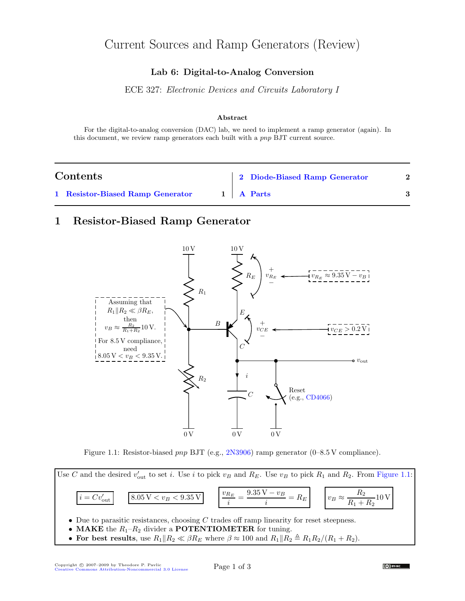# Current Sources and Ramp Generators (Review)

#### Lab 6: Digital-to-Analog Conversion

ECE 327: Electronic Devices and Circuits Laboratory I

#### Abstract

For the digital-to-analog conversion (DAC) lab, we need to implement a ramp generator (again). In this document, we review ramp generators each built with a pnp BJT current source.

| Contents |                                  |  | 2 Diode-Biased Ramp Generator |  |
|----------|----------------------------------|--|-------------------------------|--|
|          | 1 Resistor-Biased Ramp Generator |  | 1 A Parts                     |  |

### <span id="page-0-0"></span>1 Resistor-Biased Ramp Generator



<span id="page-0-1"></span>Figure 1.1: Resistor-biased *pnp* BJT (e.g., [2N3906\)](http://www.fairchildsemi.com/ds/2N/2N3906.pdf) ramp generator (0–8.5 V compliance).



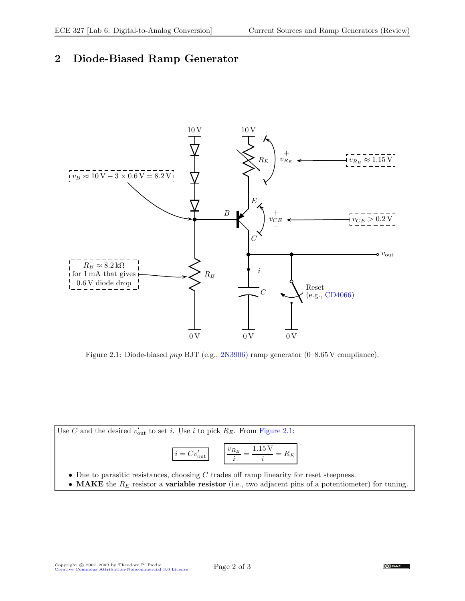# <span id="page-1-0"></span>2 Diode-Biased Ramp Generator



<span id="page-1-1"></span>Figure 2.1: Diode-biased pnp BJT (e.g., [2N3906\)](http://www.fairchildsemi.com/ds/2N/2N3906.pdf) ramp generator (0–8.65 V compliance).